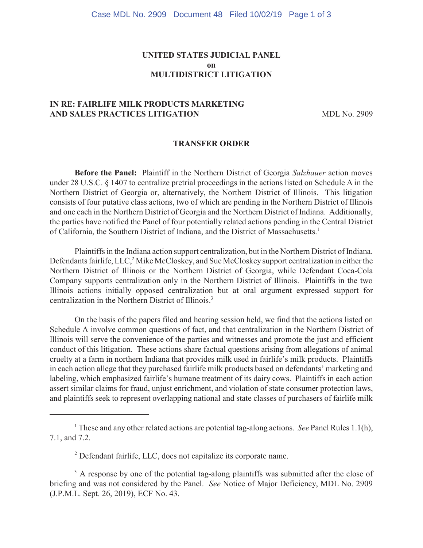# **UNITED STATES JUDICIAL PANEL on MULTIDISTRICT LITIGATION**

# **IN RE: FAIRLIFE MILK PRODUCTS MARKETING**  AND SALES PRACTICES LITIGATION MDL No. 2909

#### **TRANSFER ORDER**

**Before the Panel:** Plaintiff in the Northern District of Georgia *Salzhauer* action moves under 28 U.S.C. § 1407 to centralize pretrial proceedings in the actions listed on Schedule A in the Northern District of Georgia or, alternatively, the Northern District of Illinois. This litigation consists of four putative class actions, two of which are pending in the Northern District of Illinois and one each in the Northern District of Georgia and the Northern District of Indiana. Additionally, the parties have notified the Panel of four potentially related actions pending in the Central District of California, the Southern District of Indiana, and the District of Massachusetts.1

Plaintiffs in the Indiana action support centralization, but in the Northern District of Indiana. Defendants fairlife, LLC,<sup>2</sup> Mike McCloskey, and Sue McCloskey support centralization in either the Northern District of Illinois or the Northern District of Georgia, while Defendant Coca-Cola Company supports centralization only in the Northern District of Illinois. Plaintiffs in the two Illinois actions initially opposed centralization but at oral argument expressed support for centralization in the Northern District of Illinois.<sup>3</sup>

On the basis of the papers filed and hearing session held, we find that the actions listed on Schedule A involve common questions of fact, and that centralization in the Northern District of Illinois will serve the convenience of the parties and witnesses and promote the just and efficient conduct of this litigation. These actions share factual questions arising from allegations of animal cruelty at a farm in northern Indiana that provides milk used in fairlife's milk products. Plaintiffs in each action allege that they purchased fairlife milk products based on defendants' marketing and labeling, which emphasized fairlife's humane treatment of its dairy cows. Plaintiffs in each action assert similar claims for fraud, unjust enrichment, and violation of state consumer protection laws, and plaintiffs seek to represent overlapping national and state classes of purchasers of fairlife milk

These and any other related actions are potential tag-along actions. *See* Panel Rules 1.1(h), <sup>1</sup> 7.1, and 7.2.

<sup>&</sup>lt;sup>2</sup> Defendant fairlife, LLC, does not capitalize its corporate name.

 $3<sup>3</sup>$  A response by one of the potential tag-along plaintiffs was submitted after the close of briefing and was not considered by the Panel. *See* Notice of Major Deficiency, MDL No. 2909 (J.P.M.L. Sept. 26, 2019), ECF No. 43.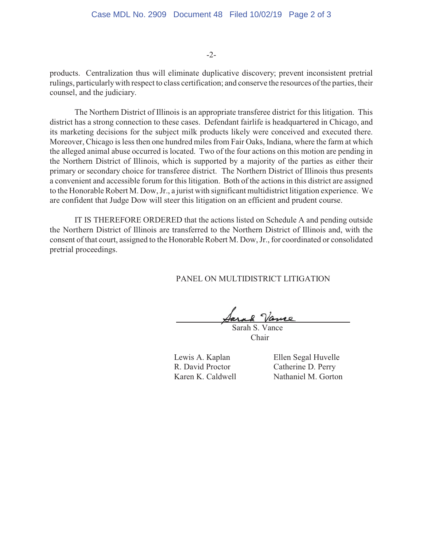-2-

products. Centralization thus will eliminate duplicative discovery; prevent inconsistent pretrial rulings, particularly with respect to class certification; and conserve the resources of the parties, their counsel, and the judiciary.

The Northern District of Illinois is an appropriate transferee district for this litigation. This district has a strong connection to these cases. Defendant fairlife is headquartered in Chicago, and its marketing decisions for the subject milk products likely were conceived and executed there. Moreover, Chicago is less then one hundred miles from Fair Oaks, Indiana, where the farm at which the alleged animal abuse occurred is located. Two of the four actions on this motion are pending in the Northern District of Illinois, which is supported by a majority of the parties as either their primary or secondary choice for transferee district. The Northern District of Illinois thus presents a convenient and accessible forum for this litigation. Both of the actions in this district are assigned to the Honorable Robert M. Dow, Jr., a jurist with significant multidistrict litigation experience. We are confident that Judge Dow will steer this litigation on an efficient and prudent course.

IT IS THEREFORE ORDERED that the actions listed on Schedule A and pending outside the Northern District of Illinois are transferred to the Northern District of Illinois and, with the consent of that court, assigned to the Honorable Robert M. Dow, Jr., for coordinated or consolidated pretrial proceedings.

PANEL ON MULTIDISTRICT LITIGATION

Jarak Vance

 Sarah S. Vance Chair

R. David Proctor Catherine D. Perry

Lewis A. Kaplan Ellen Segal Huvelle Karen K. Caldwell Nathaniel M. Gorton